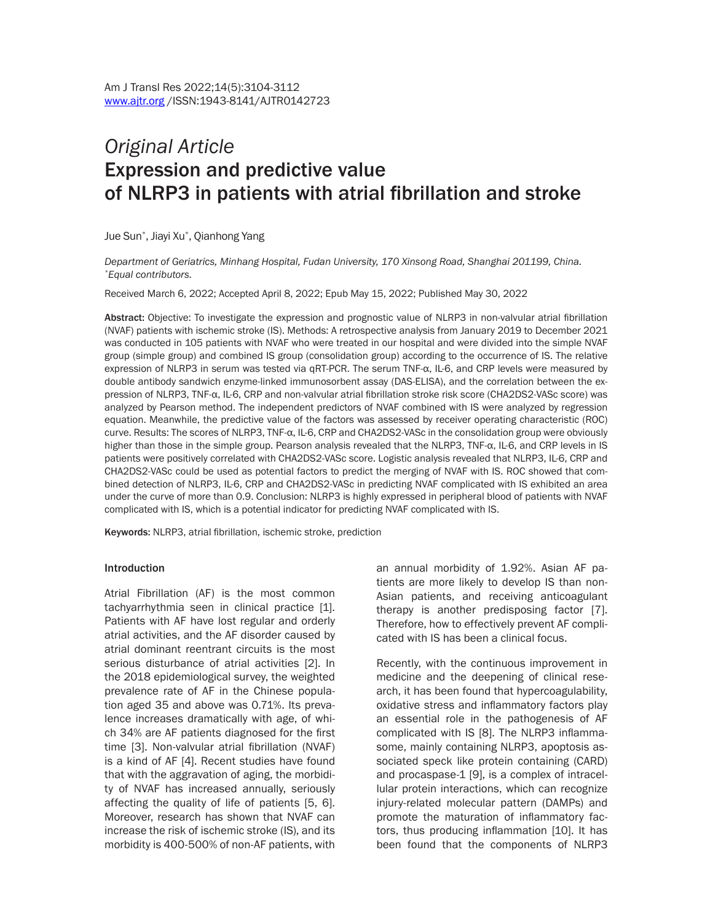# *Original Article* Expression and predictive value of NLRP3 in patients with atrial fibrillation and stroke

Jue Sun\* , Jiayi Xu\* , Qianhong Yang

*Department of Geriatrics, Minhang Hospital, Fudan University, 170 Xinsong Road, Shanghai 201199, China. \*Equal contributors.*

Received March 6, 2022; Accepted April 8, 2022; Epub May 15, 2022; Published May 30, 2022

Abstract: Objective: To investigate the expression and prognostic value of NLRP3 in non-valvular atrial fibrillation (NVAF) patients with ischemic stroke (IS). Methods: A retrospective analysis from January 2019 to December 2021 was conducted in 105 patients with NVAF who were treated in our hospital and were divided into the simple NVAF group (simple group) and combined IS group (consolidation group) according to the occurrence of IS. The relative expression of NLRP3 in serum was tested via qRT-PCR. The serum TNF-α, IL-6, and CRP levels were measured by double antibody sandwich enzyme-linked immunosorbent assay (DAS-ELISA), and the correlation between the expression of NLRP3, TNF-α, IL-6, CRP and non-valvular atrial fibrillation stroke risk score (CHA2DS2-VASc score) was analyzed by Pearson method. The independent predictors of NVAF combined with IS were analyzed by regression equation. Meanwhile, the predictive value of the factors was assessed by receiver operating characteristic (ROC) curve. Results: The scores of NLRP3, TNF-α, IL-6, CRP and CHA2DS2-VASc in the consolidation group were obviously higher than those in the simple group. Pearson analysis revealed that the NLRP3, TNF-α, IL-6, and CRP levels in IS patients were positively correlated with CHA2DS2-VASc score. Logistic analysis revealed that NLRP3, IL-6, CRP and CHA2DS2-VASc could be used as potential factors to predict the merging of NVAF with IS. ROC showed that combined detection of NLRP3, IL-6, CRP and CHA2DS2-VASc in predicting NVAF complicated with IS exhibited an area under the curve of more than 0.9. Conclusion: NLRP3 is highly expressed in peripheral blood of patients with NVAF complicated with IS, which is a potential indicator for predicting NVAF complicated with IS.

Keywords: NLRP3, atrial fibrillation, ischemic stroke, prediction

#### Introduction

Atrial Fibrillation (AF) is the most common tachyarrhythmia seen in clinical practice [1]. Patients with AF have lost regular and orderly atrial activities, and the AF disorder caused by atrial dominant reentrant circuits is the most serious disturbance of atrial activities [2]. In the 2018 epidemiological survey, the weighted prevalence rate of AF in the Chinese population aged 35 and above was 0.71%. Its prevalence increases dramatically with age, of which 34% are AF patients diagnosed for the first time [3]. Non-valvular atrial fibrillation (NVAF) is a kind of AF [4]. Recent studies have found that with the aggravation of aging, the morbidity of NVAF has increased annually, seriously affecting the quality of life of patients [5, 6]. Moreover, research has shown that NVAF can increase the risk of ischemic stroke (IS), and its morbidity is 400-500% of non-AF patients, with

an annual morbidity of 1.92%. Asian AF patients are more likely to develop IS than non-Asian patients, and receiving anticoagulant therapy is another predisposing factor [7]. Therefore, how to effectively prevent AF complicated with IS has been a clinical focus.

Recently, with the continuous improvement in medicine and the deepening of clinical research, it has been found that hypercoagulability, oxidative stress and inflammatory factors play an essential role in the pathogenesis of AF complicated with IS [8]. The NLRP3 inflammasome, mainly containing NLRP3, apoptosis associated speck like protein containing (CARD) and procaspase-1 [9], is a complex of intracellular protein interactions, which can recognize injury-related molecular pattern (DAMPs) and promote the maturation of inflammatory factors, thus producing inflammation [10]. It has been found that the components of NLRP3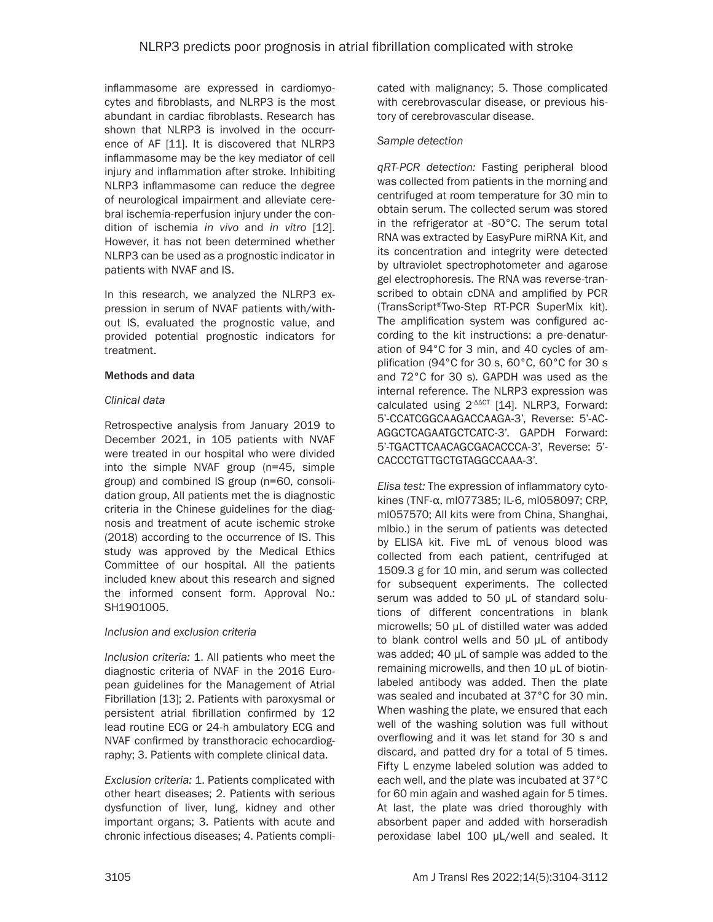inflammasome are expressed in cardiomyocytes and fibroblasts, and NLRP3 is the most abundant in cardiac fibroblasts. Research has shown that NLRP3 is involved in the occurrence of AF [11]. It is discovered that NLRP3 inflammasome may be the key mediator of cell injury and inflammation after stroke. Inhibiting NLRP3 inflammasome can reduce the degree of neurological impairment and alleviate cerebral ischemia-reperfusion injury under the condition of ischemia *in vivo* and *in vitro* [12]. However, it has not been determined whether NLRP3 can be used as a prognostic indicator in patients with NVAF and IS.

In this research, we analyzed the NLRP3 expression in serum of NVAF patients with/without IS, evaluated the prognostic value, and provided potential prognostic indicators for treatment.

#### Methods and data

## *Clinical data*

Retrospective analysis from January 2019 to December 2021, in 105 patients with NVAF were treated in our hospital who were divided into the simple NVAF group (n=45, simple group) and combined IS group (n=60, consolidation group, All patients met the is diagnostic criteria in the Chinese guidelines for the diagnosis and treatment of acute ischemic stroke (2018) according to the occurrence of IS. This study was approved by the Medical Ethics Committee of our hospital. All the patients included knew about this research and signed the informed consent form. Approval No.: SH1901005.

## *Inclusion and exclusion criteria*

*Inclusion criteria:* 1. All patients who meet the diagnostic criteria of NVAF in the 2016 European guidelines for the Management of Atrial Fibrillation [13]; 2. Patients with paroxysmal or persistent atrial fibrillation confirmed by 12 lead routine ECG or 24-h ambulatory ECG and NVAF confirmed by transthoracic echocardiography; 3. Patients with complete clinical data.

*Exclusion criteria:* 1. Patients complicated with other heart diseases; 2. Patients with serious dysfunction of liver, lung, kidney and other important organs; 3. Patients with acute and chronic infectious diseases; 4. Patients complicated with malignancy; 5. Those complicated with cerebrovascular disease, or previous history of cerebrovascular disease.

## *Sample detection*

*qRT-PCR detection:* Fasting peripheral blood was collected from patients in the morning and centrifuged at room temperature for 30 min to obtain serum. The collected serum was stored in the refrigerator at -80°C. The serum total RNA was extracted by EasyPure miRNA Kit, and its concentration and integrity were detected by ultraviolet spectrophotometer and agarose gel electrophoresis. The RNA was reverse-transcribed to obtain cDNA and amplified by PCR (TransScript®Two-Step RT-PCR SuperMix kit). The amplification system was configured according to the kit instructions: a pre-denaturation of 94°C for 3 min, and 40 cycles of amplification (94°C for 30 s, 60°C, 60°C for 30 s and 72°C for 30 s). GAPDH was used as the internal reference. The NLRP3 expression was calculated using 2<sup>-ΔΔCT</sup> [14]. NLRP3, Forward: 5'-CCATCGGCAAGACCAAGA-3', Reverse: 5'-AC-AGGCTCAGAATGCTCATC-3'. GAPDH Forward: 5'-TGACTTCAACAGCGACACCCA-3', Reverse: 5'- CACCCTGTTGCTGTAGGCCAAA-3'.

*Elisa test:* The expression of inflammatory cytokines (TNF-α, ml077385; IL-6, ml058097; CRP, ml057570; All kits were from China, Shanghai, mlbio.) in the serum of patients was detected by ELISA kit. Five mL of venous blood was collected from each patient, centrifuged at 1509.3 g for 10 min, and serum was collected for subsequent experiments. The collected serum was added to 50 μL of standard solutions of different concentrations in blank microwells; 50 μL of distilled water was added to blank control wells and 50 μL of antibody was added; 40 μL of sample was added to the remaining microwells, and then 10 μL of biotinlabeled antibody was added. Then the plate was sealed and incubated at 37°C for 30 min. When washing the plate, we ensured that each well of the washing solution was full without overflowing and it was let stand for 30 s and discard, and patted dry for a total of 5 times. Fifty L enzyme labeled solution was added to each well, and the plate was incubated at 37°C for 60 min again and washed again for 5 times. At last, the plate was dried thoroughly with absorbent paper and added with horseradish peroxidase label 100 μL/well and sealed. It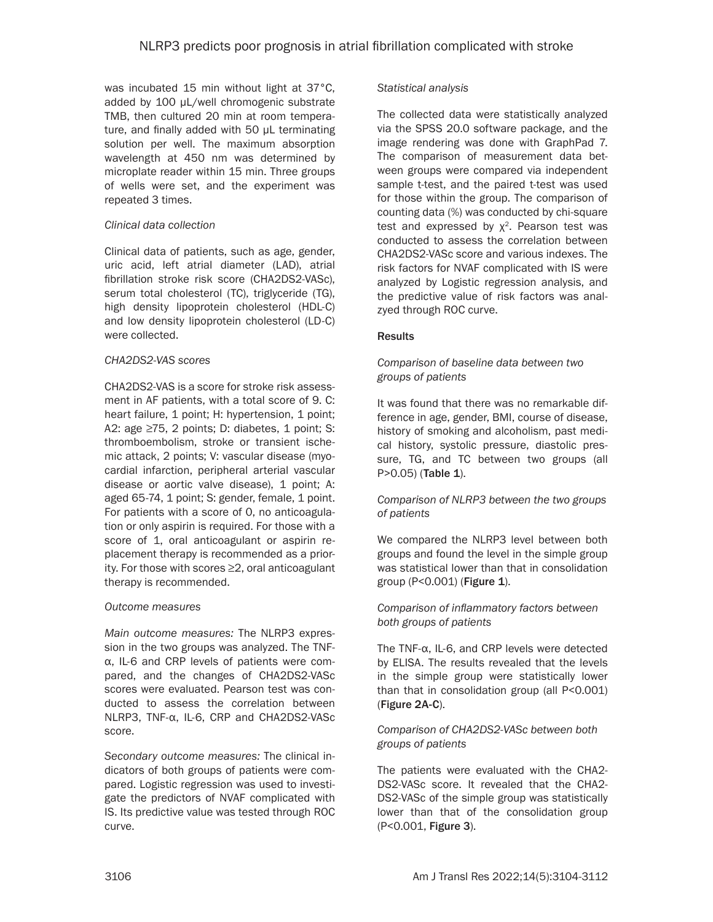was incubated 15 min without light at 37°C, added by 100 μL/well chromogenic substrate TMB, then cultured 20 min at room temperature, and finally added with 50 μL terminating solution per well. The maximum absorption wavelength at 450 nm was determined by microplate reader within 15 min. Three groups of wells were set, and the experiment was repeated 3 times.

## *Clinical data collection*

Clinical data of patients, such as age, gender, uric acid, left atrial diameter (LAD), atrial fibrillation stroke risk score (CHA2DS2-VASc), serum total cholesterol (TC), triglyceride (TG), high density lipoprotein cholesterol (HDL-C) and low density lipoprotein cholesterol (LD-C) were collected.

#### *CHA2DS2-VAS scores*

CHA2DS2-VAS is a score for stroke risk assessment in AF patients, with a total score of 9. C: heart failure, 1 point; H: hypertension, 1 point; A2: age ≥75, 2 points; D: diabetes, 1 point; S: thromboembolism, stroke or transient ischemic attack, 2 points; V: vascular disease (myocardial infarction, peripheral arterial vascular disease or aortic valve disease), 1 point; A: aged 65-74, 1 point; S: gender, female, 1 point. For patients with a score of 0, no anticoagulation or only aspirin is required. For those with a score of 1, oral anticoagulant or aspirin replacement therapy is recommended as a priority. For those with scores ≥2, oral anticoagulant therapy is recommended.

#### *Outcome measures*

*Main outcome measures:* The NLRP3 expression in the two groups was analyzed. The TNFα, IL-6 and CRP levels of patients were compared, and the changes of CHA2DS2-VASc scores were evaluated. Pearson test was conducted to assess the correlation between NLRP3, TNF-α, IL-6, CRP and CHA2DS2-VASc score.

*Secondary outcome measures:* The clinical indicators of both groups of patients were compared. Logistic regression was used to investigate the predictors of NVAF complicated with IS. Its predictive value was tested through ROC curve.

#### *Statistical analysis*

The collected data were statistically analyzed via the SPSS 20.0 software package, and the image rendering was done with GraphPad 7. The comparison of measurement data between groups were compared via independent sample t-test, and the paired t-test was used for those within the group. The comparison of counting data (%) was conducted by chi-square test and expressed by  $x^2$ . Pearson test was conducted to assess the correlation between CHA2DS2-VASc score and various indexes. The risk factors for NVAF complicated with IS were analyzed by Logistic regression analysis, and the predictive value of risk factors was analzyed through ROC curve.

## **Results**

## *Comparison of baseline data between two groups of patients*

It was found that there was no remarkable difference in age, gender, BMI, course of disease, history of smoking and alcoholism, past medical history, systolic pressure, diastolic pressure, TG, and TC between two groups (all P>0.05) (Table 1).

## *Comparison of NLRP3 between the two groups of patients*

We compared the NLRP3 level between both groups and found the level in the simple group was statistical lower than that in consolidation group (P<0.001) (Figure 1).

## *Comparison of inflammatory factors between both groups of patients*

The TNF-α, IL-6, and CRP levels were detected by ELISA. The results revealed that the levels in the simple group were statistically lower than that in consolidation group (all P<0.001) (Figure 2A-C).

#### *Comparison of CHA2DS2-VASc between both groups of patients*

The patients were evaluated with the CHA2- DS2-VASc score. It revealed that the CHA2- DS2-VASc of the simple group was statistically lower than that of the consolidation group (P<0.001, Figure 3).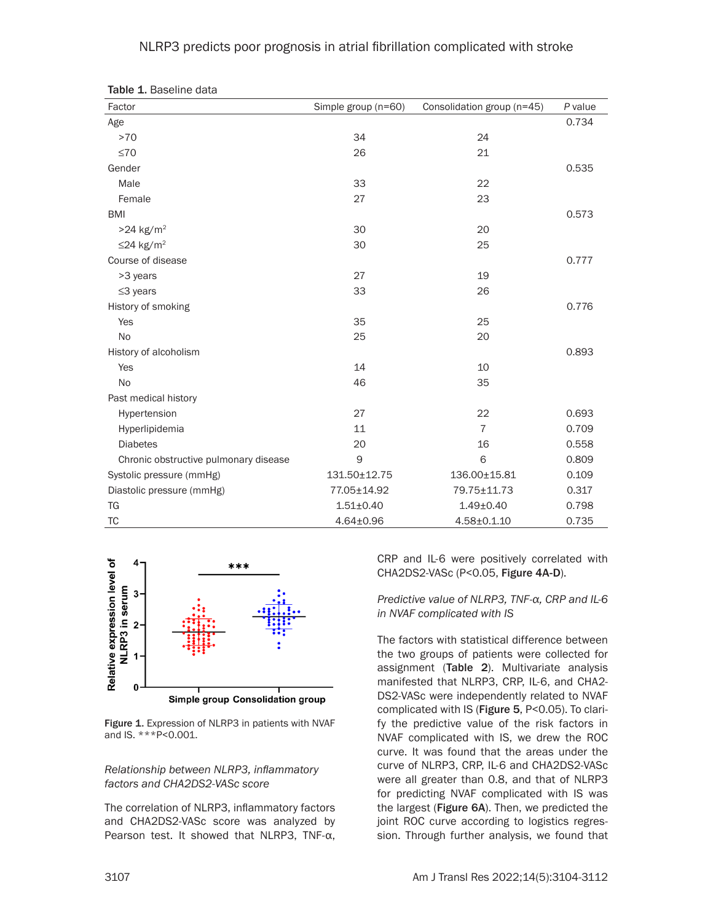#### NLRP3 predicts poor prognosis in atrial fibrillation complicated with stroke

| Factor                                | Simple group (n=60) | Consolidation group (n=45) | P value |
|---------------------------------------|---------------------|----------------------------|---------|
| Age                                   |                     |                            | 0.734   |
| $>70$                                 | 34                  | 24                         |         |
| $\leq 70$                             | 26                  | 21                         |         |
| Gender                                |                     |                            | 0.535   |
| Male                                  | 33                  | 22                         |         |
| Female                                | 27                  | 23                         |         |
| <b>BMI</b>                            |                     |                            | 0.573   |
| $>24$ kg/m <sup>2</sup>               | 30                  | 20                         |         |
| $\leq$ 24 kg/m <sup>2</sup>           | 30                  | 25                         |         |
| Course of disease                     |                     |                            | 0.777   |
| >3 years                              | 27                  | 19                         |         |
| $\leq$ 3 years                        | 33                  | 26                         |         |
| History of smoking                    |                     |                            | 0.776   |
| Yes                                   | 35                  | 25                         |         |
| No                                    | 25                  | 20                         |         |
| History of alcoholism                 |                     |                            | 0.893   |
| Yes                                   | 14                  | 10                         |         |
| <b>No</b>                             | 46                  | 35                         |         |
| Past medical history                  |                     |                            |         |
| Hypertension                          | 27                  | 22                         | 0.693   |
| Hyperlipidemia                        | 11                  | $\overline{7}$             | 0.709   |
| <b>Diabetes</b>                       | 20                  | 16                         | 0.558   |
| Chronic obstructive pulmonary disease | 9                   | 6                          | 0.809   |
| Systolic pressure (mmHg)              | 131.50±12.75        | 136.00±15.81               | 0.109   |
| Diastolic pressure (mmHg)             | 77.05±14.92         | 79.75±11.73                | 0.317   |
| <b>TG</b>                             | $1.51 \pm 0.40$     | $1.49 + 0.40$              | 0.798   |
| TC                                    | $4.64 \pm 0.96$     | 4.58±0.1.10                | 0.735   |

Table 1. Baseline data



Simple group Consolidation group

Figure 1. Expression of NLRP3 in patients with NVAF and IS. \*\*\*P<0.001.

#### *Relationship between NLRP3, inflammatory factors and CHA2DS2-VASc score*

The correlation of NLRP3, inflammatory factors and CHA2DS2-VASc score was analyzed by Pearson test. It showed that NLRP3, TNF-α, CRP and IL-6 were positively correlated with CHA2DS2-VASc (P<0.05, Figure 4A-D).

#### *Predictive value of NLRP3, TNF-α, CRP and IL-6 in NVAF complicated with IS*

The factors with statistical difference between the two groups of patients were collected for assignment (Table 2). Multivariate analysis manifested that NLRP3, CRP, IL-6, and CHA2- DS2-VASc were independently related to NVAF complicated with IS (Figure 5, P<0.05). To clarify the predictive value of the risk factors in NVAF complicated with IS, we drew the ROC curve. It was found that the areas under the curve of NLRP3, CRP, IL-6 and CHA2DS2-VASc were all greater than 0.8, and that of NLRP3 for predicting NVAF complicated with IS was the largest (Figure 6A). Then, we predicted the joint ROC curve according to logistics regression. Through further analysis, we found that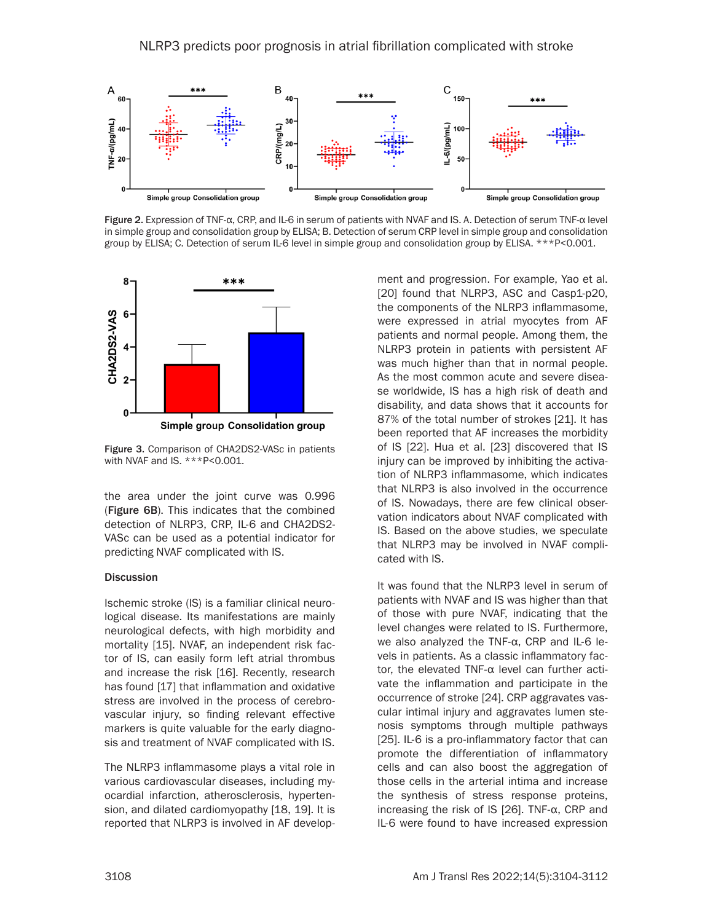

Figure 2. Expression of TNF-α, CRP, and IL-6 in serum of patients with NVAF and IS. A. Detection of serum TNF-α level in simple group and consolidation group by ELISA; B. Detection of serum CRP level in simple group and consolidation group by ELISA; C. Detection of serum IL-6 level in simple group and consolidation group by ELISA. \*\*\*P<0.001.



Figure 3. Comparison of CHA2DS2-VASc in patients with NVAF and IS. \*\*\*P<0.001.

the area under the joint curve was 0.996 (Figure 6B). This indicates that the combined detection of NLRP3, CRP, IL-6 and CHA2DS2- VASc can be used as a potential indicator for predicting NVAF complicated with IS.

#### **Discussion**

Ischemic stroke (IS) is a familiar clinical neurological disease. Its manifestations are mainly neurological defects, with high morbidity and mortality [15]. NVAF, an independent risk factor of IS, can easily form left atrial thrombus and increase the risk [16]. Recently, research has found [17] that inflammation and oxidative stress are involved in the process of cerebrovascular injury, so finding relevant effective markers is quite valuable for the early diagnosis and treatment of NVAF complicated with IS.

The NLRP3 inflammasome plays a vital role in various cardiovascular diseases, including myocardial infarction, atherosclerosis, hypertension, and dilated cardiomyopathy [18, 19]. It is reported that NLRP3 is involved in AF development and progression. For example, Yao et al. [20] found that NLRP3, ASC and Casp1-p20, the components of the NLRP3 inflammasome, were expressed in atrial myocytes from AF patients and normal people. Among them, the NLRP3 protein in patients with persistent AF was much higher than that in normal people. As the most common acute and severe disease worldwide, IS has a high risk of death and disability, and data shows that it accounts for 87% of the total number of strokes [21]. It has been reported that AF increases the morbidity of IS [22]. Hua et al. [23] discovered that IS injury can be improved by inhibiting the activation of NLRP3 inflammasome, which indicates that NLRP3 is also involved in the occurrence of IS. Nowadays, there are few clinical observation indicators about NVAF complicated with IS. Based on the above studies, we speculate that NLRP3 may be involved in NVAF complicated with IS.

It was found that the NLRP3 level in serum of patients with NVAF and IS was higher than that of those with pure NVAF, indicating that the level changes were related to IS. Furthermore, we also analyzed the TNF-α, CRP and IL-6 levels in patients. As a classic inflammatory factor, the elevated TNF-α level can further activate the inflammation and participate in the occurrence of stroke [24]. CRP aggravates vascular intimal injury and aggravates lumen stenosis symptoms through multiple pathways [25]. IL-6 is a pro-inflammatory factor that can promote the differentiation of inflammatory cells and can also boost the aggregation of those cells in the arterial intima and increase the synthesis of stress response proteins, increasing the risk of IS [26]. TNF-α, CRP and IL-6 were found to have increased expression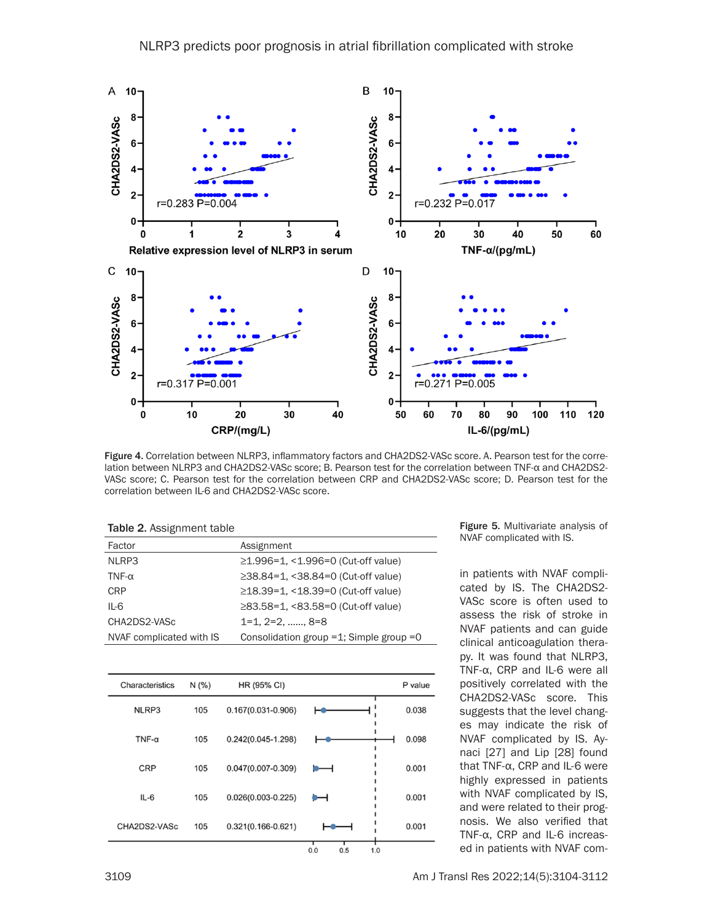

Figure 4. Correlation between NLRP3, inflammatory factors and CHA2DS2-VASc score. A. Pearson test for the correlation between NLRP3 and CHA2DS2-VASc score; B. Pearson test for the correlation between TNF-α and CHA2DS2- VASc score; C. Pearson test for the correlation between CRP and CHA2DS2-VASc score; D. Pearson test for the correlation between IL-6 and CHA2DS2-VASc score.

| <b>Table 2.</b> Assignment table |                                              |
|----------------------------------|----------------------------------------------|
| Factor                           | Assignment                                   |
| NLRP3                            | $\geq$ 1.996=1, <1.996=0 (Cut-off value)     |
| TNF- $\alpha$                    | $\geq$ 38.84=1, <38.84=0 (Cut-off value)     |
| <b>CRP</b>                       | ≥18.39=1, <18.39=0 (Cut-off value)           |
| $IL-6$                           | ≥83.58=1, <83.58=0 (Cut-off value)           |
| CHA2DS2-VASc                     | 1=1, 2=2, , 8=8                              |
| NVAF complicated with IS         | Consolidation group $=1$ ; Simple group $=0$ |

| Characteristics | N(% | HR (95% CI)            |                   | P value |
|-----------------|-----|------------------------|-------------------|---------|
| NLRP3           | 105 | $0.167(0.031 - 0.906)$ |                   | 0.038   |
| TNF- $\alpha$   | 105 | $0.242(0.045 - 1.298)$ |                   | 0.098   |
| <b>CRP</b>      | 105 | $0.047(0.007 - 0.309)$ | ╺──               | 0.001   |
| $IL-6$          | 105 | $0.026(0.003 - 0.225)$ | ⊶                 | 0.001   |
| CHA2DS2-VASc    | 105 | $0.321(0.166 - 0.621)$ |                   | 0.001   |
|                 |     |                        | 0.0<br>0.5<br>1.0 |         |

Figure 5. Multivariate analysis of NVAF complicated with IS.

in patients with NVAF complicated by IS. The CHA2DS2- VASc score is often used to assess the risk of stroke in NVAF patients and can guide clinical anticoagulation therapy. It was found that NLRP3, TNF-α, CRP and IL-6 were all positively correlated with the CHA2DS2-VASc score. This suggests that the level changes may indicate the risk of NVAF complicated by IS. Aynaci [27] and Lip [28] found that TNF-α, CRP and IL-6 were highly expressed in patients with NVAF complicated by IS, and were related to their prognosis. We also verified that TNF-α, CRP and IL-6 increased in patients with NVAF com-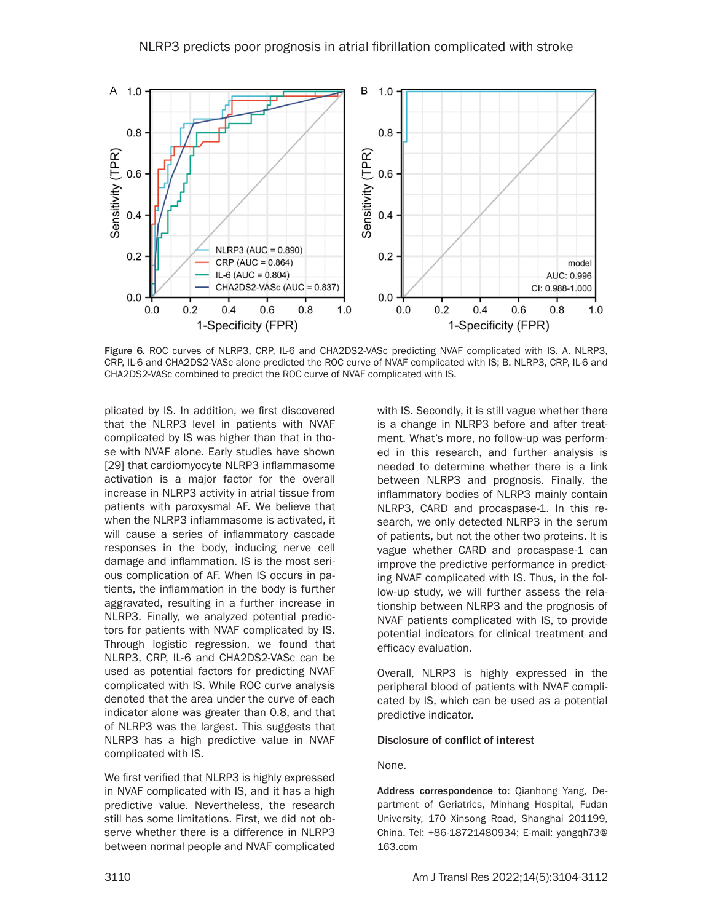

Figure 6. ROC curves of NLRP3, CRP, IL-6 and CHA2DS2-VASc predicting NVAF complicated with IS. A. NLRP3, CRP, IL-6 and CHA2DS2-VASc alone predicted the ROC curve of NVAF complicated with IS; B. NLRP3, CRP, IL-6 and CHA2DS2-VASc combined to predict the ROC curve of NVAF complicated with IS.

plicated by IS. In addition, we first discovered that the NLRP3 level in patients with NVAF complicated by IS was higher than that in those with NVAF alone. Early studies have shown [29] that cardiomyocyte NLRP3 inflammasome activation is a major factor for the overall increase in NLRP3 activity in atrial tissue from patients with paroxysmal AF. We believe that when the NLRP3 inflammasome is activated, it will cause a series of inflammatory cascade responses in the body, inducing nerve cell damage and inflammation. IS is the most serious complication of AF. When IS occurs in patients, the inflammation in the body is further aggravated, resulting in a further increase in NLRP3. Finally, we analyzed potential predictors for patients with NVAF complicated by IS. Through logistic regression, we found that NLRP3, CRP, IL-6 and CHA2DS2-VASc can be used as potential factors for predicting NVAF complicated with IS. While ROC curve analysis denoted that the area under the curve of each indicator alone was greater than 0.8, and that of NLRP3 was the largest. This suggests that NLRP3 has a high predictive value in NVAF complicated with IS.

We first verified that NLRP3 is highly expressed in NVAF complicated with IS, and it has a high predictive value. Nevertheless, the research still has some limitations. First, we did not observe whether there is a difference in NLRP3 between normal people and NVAF complicated with IS. Secondly, it is still vague whether there is a change in NLRP3 before and after treatment. What's more, no follow-up was performed in this research, and further analysis is needed to determine whether there is a link between NLRP3 and prognosis. Finally, the inflammatory bodies of NLRP3 mainly contain NLRP3, CARD and procaspase-1. In this research, we only detected NLRP3 in the serum of patients, but not the other two proteins. It is vague whether CARD and procaspase-1 can improve the predictive performance in predicting NVAF complicated with IS. Thus, in the follow-up study, we will further assess the relationship between NLRP3 and the prognosis of NVAF patients complicated with IS, to provide potential indicators for clinical treatment and efficacy evaluation.

Overall, NLRP3 is highly expressed in the peripheral blood of patients with NVAF complicated by IS, which can be used as a potential predictive indicator.

#### Disclosure of conflict of interest

#### None.

Address correspondence to: Qianhong Yang, Department of Geriatrics, Minhang Hospital, Fudan University, 170 Xinsong Road, Shanghai 201199, China. Tel: +86-18721480934; E-mail: [yangqh73@](mailto:yangqh73@163.com) [163.com](mailto:yangqh73@163.com)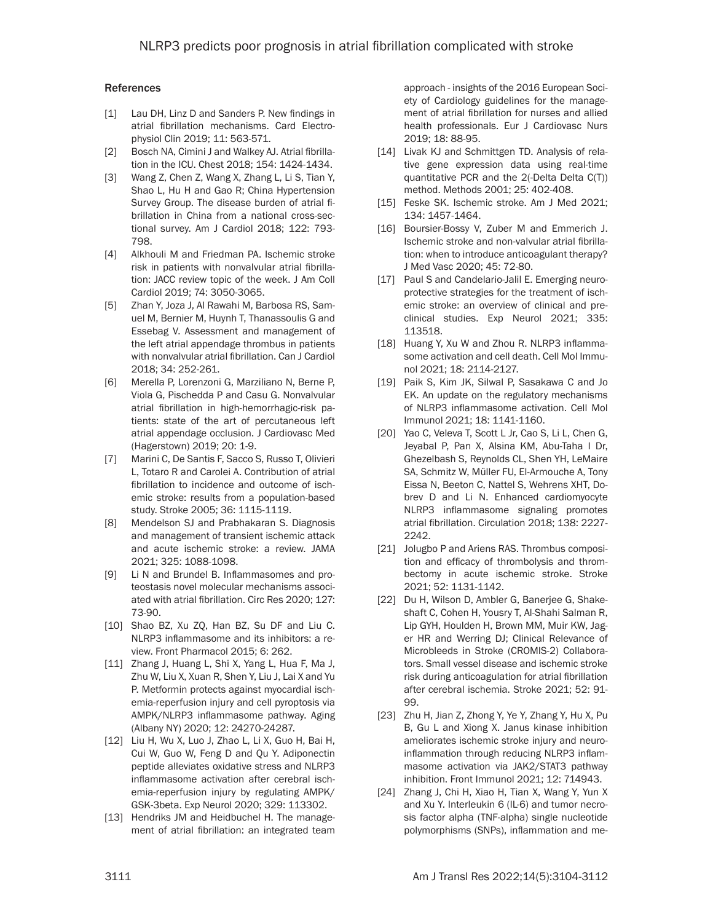#### References

- [1] Lau DH, Linz D and Sanders P. New findings in atrial fibrillation mechanisms. Card Electrophysiol Clin 2019; 11: 563-571.
- [2] Bosch NA, Cimini J and Walkey AJ. Atrial fibrillation in the ICU. Chest 2018; 154: 1424-1434.
- [3] Wang Z, Chen Z, Wang X, Zhang L, Li S, Tian Y, Shao L, Hu H and Gao R; China Hypertension Survey Group. The disease burden of atrial fibrillation in China from a national cross-sectional survey. Am J Cardiol 2018; 122: 793- 798.
- [4] Alkhouli M and Friedman PA. Ischemic stroke risk in patients with nonvalvular atrial fibrillation: JACC review topic of the week. J Am Coll Cardiol 2019; 74: 3050-3065.
- [5] Zhan Y, Joza J, Al Rawahi M, Barbosa RS, Samuel M, Bernier M, Huynh T, Thanassoulis G and Essebag V. Assessment and management of the left atrial appendage thrombus in patients with nonvalvular atrial fibrillation. Can J Cardiol 2018; 34: 252-261.
- [6] Merella P, Lorenzoni G, Marziliano N, Berne P, Viola G, Pischedda P and Casu G. Nonvalvular atrial fibrillation in high-hemorrhagic-risk patients: state of the art of percutaneous left atrial appendage occlusion. J Cardiovasc Med (Hagerstown) 2019; 20: 1-9.
- [7] Marini C, De Santis F, Sacco S, Russo T, Olivieri L, Totaro R and Carolei A. Contribution of atrial fibrillation to incidence and outcome of ischemic stroke: results from a population-based study. Stroke 2005; 36: 1115-1119.
- [8] Mendelson SJ and Prabhakaran S. Diagnosis and management of transient ischemic attack and acute ischemic stroke: a review. JAMA 2021; 325: 1088-1098.
- [9] Li N and Brundel B. Inflammasomes and proteostasis novel molecular mechanisms associated with atrial fibrillation. Circ Res 2020; 127: 73-90.
- [10] Shao BZ, Xu ZQ, Han BZ, Su DF and Liu C. NLRP3 inflammasome and its inhibitors: a review. Front Pharmacol 2015; 6: 262.
- [11] Zhang J, Huang L, Shi X, Yang L, Hua F, Ma J, Zhu W, Liu X, Xuan R, Shen Y, Liu J, Lai X and Yu P. Metformin protects against myocardial ischemia-reperfusion injury and cell pyroptosis via AMPK/NLRP3 inflammasome pathway. Aging (Albany NY) 2020; 12: 24270-24287.
- [12] Liu H, Wu X, Luo J, Zhao L, Li X, Guo H, Bai H, Cui W, Guo W, Feng D and Qu Y. Adiponectin peptide alleviates oxidative stress and NLRP3 inflammasome activation after cerebral ischemia-reperfusion injury by regulating AMPK/ GSK-3beta. Exp Neurol 2020; 329: 113302.
- [13] Hendriks JM and Heidbuchel H. The management of atrial fibrillation: an integrated team

approach - insights of the 2016 European Society of Cardiology guidelines for the management of atrial fibrillation for nurses and allied health professionals. Eur J Cardiovasc Nurs 2019; 18: 88-95.

- [14] Livak KJ and Schmittgen TD. Analysis of relative gene expression data using real-time quantitative PCR and the 2(-Delta Delta C(T)) method. Methods 2001; 25: 402-408.
- [15] Feske SK. Ischemic stroke. Am J Med 2021; 134: 1457-1464.
- [16] Boursier-Bossy V, Zuber M and Emmerich J. Ischemic stroke and non-valvular atrial fibrillation: when to introduce anticoagulant therapy? J Med Vasc 2020; 45: 72-80.
- [17] Paul S and Candelario-Jalil E. Emerging neuroprotective strategies for the treatment of ischemic stroke: an overview of clinical and preclinical studies. Exp Neurol 2021; 335: 113518.
- [18] Huang Y, Xu W and Zhou R. NLRP3 inflammasome activation and cell death. Cell Mol Immunol 2021; 18: 2114-2127.
- [19] Paik S, Kim JK, Silwal P, Sasakawa C and Jo EK. An update on the regulatory mechanisms of NLRP3 inflammasome activation. Cell Mol Immunol 2021; 18: 1141-1160.
- [20] Yao C, Veleva T, Scott L Jr, Cao S, Li L, Chen G, Jeyabal P, Pan X, Alsina KM, Abu-Taha I Dr, Ghezelbash S, Reynolds CL, Shen YH, LeMaire SA, Schmitz W, Müller FU, El-Armouche A, Tony Eissa N, Beeton C, Nattel S, Wehrens XHT, Dobrev D and Li N. Enhanced cardiomyocyte NLRP3 inflammasome signaling promotes atrial fibrillation. Circulation 2018; 138: 2227- 2242.
- [21] Jolugbo P and Ariens RAS. Thrombus composition and efficacy of thrombolysis and thrombectomy in acute ischemic stroke. Stroke 2021; 52: 1131-1142.
- [22] Du H, Wilson D, Ambler G, Banerjee G, Shakeshaft C, Cohen H, Yousry T, Al-Shahi Salman R, Lip GYH, Houlden H, Brown MM, Muir KW, Jager HR and Werring DJ; Clinical Relevance of Microbleeds in Stroke (CROMIS-2) Collaborators. Small vessel disease and ischemic stroke risk during anticoagulation for atrial fibrillation after cerebral ischemia. Stroke 2021; 52: 91- 99.
- [23] Zhu H, Jian Z, Zhong Y, Ye Y, Zhang Y, Hu X, Pu B, Gu L and Xiong X. Janus kinase inhibition ameliorates ischemic stroke injury and neuroinflammation through reducing NLRP3 inflammasome activation via JAK2/STAT3 pathway inhibition. Front Immunol 2021; 12: 714943.
- [24] Zhang J, Chi H, Xiao H, Tian X, Wang Y, Yun X and Xu Y. Interleukin 6 (IL-6) and tumor necrosis factor alpha (TNF-alpha) single nucleotide polymorphisms (SNPs), inflammation and me-